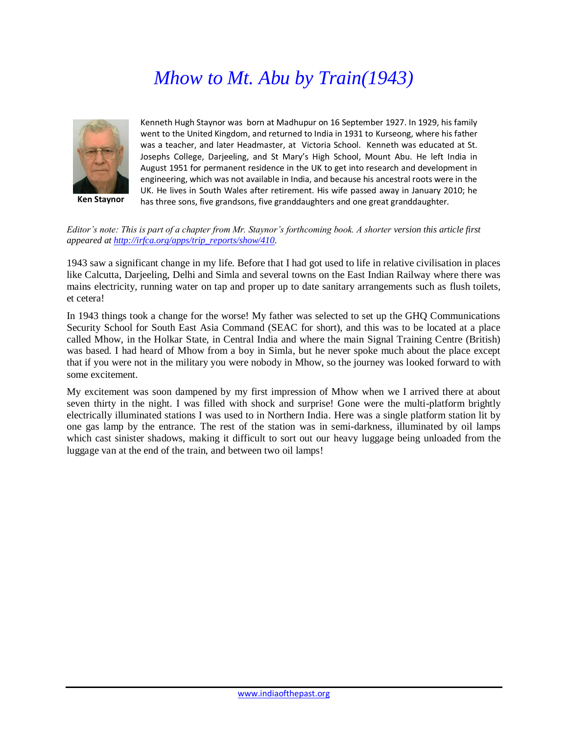## *Mhow to Mt. Abu by Train(1943)*



**Ken Staynor**

Kenneth Hugh Staynor was born at Madhupur on 16 September 1927. In 1929, his family went to the United Kingdom, and returned to India in 1931 to Kurseong, where his father was a teacher, and later Headmaster, at Victoria School. Kenneth was educated at St. Josephs College, Darjeeling, and St Mary's High School, Mount Abu. He left India in August 1951 for permanent residence in the UK to get into research and development in engineering, which was not available in India, and because his ancestral roots were in the UK. He lives in South Wales after retirement. His wife passed away in January 2010; he has three sons, five grandsons, five granddaughters and one great granddaughter.

*Editor's note: This is part of a chapter from Mr. Staynor's forthcoming book. A shorter version this article first appeared a[t http://irfca.org/apps/trip\\_reports/show/410.](http://irfca.org/apps/trip_reports/show/410)* 

1943 saw a significant change in my life. Before that I had got used to life in relative civilisation in places like Calcutta, Darjeeling, Delhi and Simla and several towns on the East Indian Railway where there was mains electricity, running water on tap and proper up to date sanitary arrangements such as flush toilets, et cetera!

In 1943 things took a change for the worse! My father was selected to set up the GHQ Communications Security School for South East Asia Command (SEAC for short), and this was to be located at a place called Mhow, in the Holkar State, in Central India and where the main Signal Training Centre (British) was based. I had heard of Mhow from a boy in Simla, but he never spoke much about the place except that if you were not in the military you were nobody in Mhow, so the journey was looked forward to with some excitement.

My excitement was soon dampened by my first impression of Mhow when we I arrived there at about seven thirty in the night. I was filled with shock and surprise! Gone were the multi-platform brightly electrically illuminated stations I was used to in Northern India. Here was a single platform station lit by one gas lamp by the entrance. The rest of the station was in semi-darkness, illuminated by oil lamps which cast sinister shadows, making it difficult to sort out our heavy luggage being unloaded from the luggage van at the end of the train, and between two oil lamps!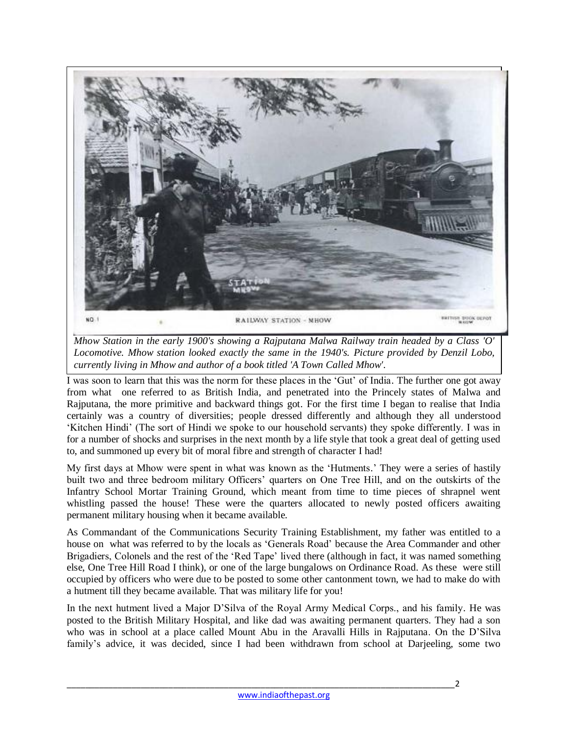

*Mhow Station in the early 1900's showing a Rajputana Malwa Railway train headed by a Class 'O' Locomotive. Mhow station looked exactly the same in the 1940's. Picture provided by Denzil Lobo, currently living in Mhow and author of a book titled 'A Town Called Mhow'.*

I was soon to learn that this was the norm for these places in the 'Gut' of India. The further one got away from what one referred to as British India, and penetrated into the Princely states of Malwa and Rajputana, the more primitive and backward things got. For the first time I began to realise that India certainly was a country of diversities; people dressed differently and although they all understood 'Kitchen Hindi' (The sort of Hindi we spoke to our household servants) they spoke differently. I was in for a number of shocks and surprises in the next month by a life style that took a great deal of getting used to, and summoned up every bit of moral fibre and strength of character I had!

My first days at Mhow were spent in what was known as the 'Hutments.' They were a series of hastily built two and three bedroom military Officers' quarters on One Tree Hill, and on the outskirts of the Infantry School Mortar Training Ground, which meant from time to time pieces of shrapnel went whistling passed the house! These were the quarters allocated to newly posted officers awaiting permanent military housing when it became available.

As Commandant of the Communications Security Training Establishment, my father was entitled to a house on what was referred to by the locals as 'Generals Road' because the Area Commander and other Brigadiers, Colonels and the rest of the 'Red Tape' lived there (although in fact, it was named something else, One Tree Hill Road I think), or one of the large bungalows on Ordinance Road. As these were still occupied by officers who were due to be posted to some other cantonment town, we had to make do with a hutment till they became available. That was military life for you!

In the next hutment lived a Major D'Silva of the Royal Army Medical Corps., and his family. He was posted to the British Military Hospital, and like dad was awaiting permanent quarters. They had a son who was in school at a place called Mount Abu in the Aravalli Hills in Rajputana. On the D'Silva family's advice, it was decided, since I had been withdrawn from school at Darjeeling, some two

\_\_\_\_\_\_\_\_\_\_\_\_\_\_\_\_\_\_\_\_\_\_\_\_\_\_\_\_\_\_\_\_\_\_\_\_\_\_\_\_\_\_\_\_\_\_\_\_\_\_\_\_\_\_\_\_\_\_\_\_\_\_\_\_\_\_\_\_\_\_\_\_\_\_\_\_\_\_\_\_\_\_\_\_2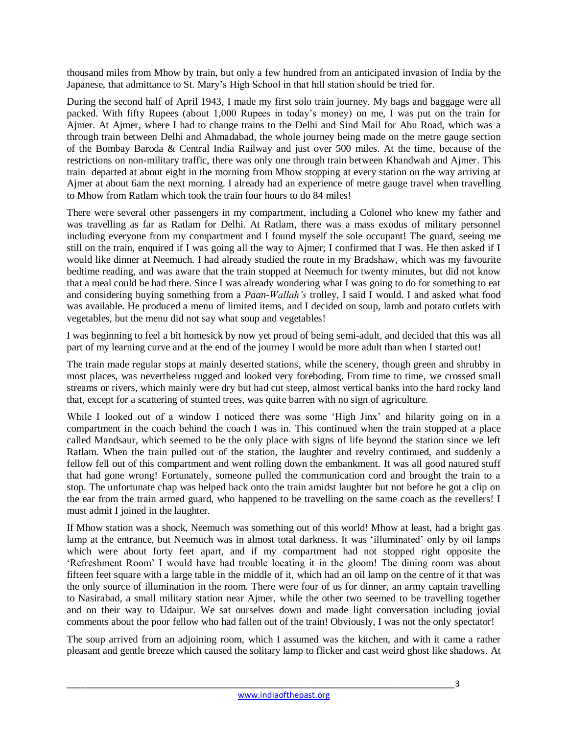thousand miles from Mhow by train, but only a few hundred from an anticipated invasion of India by the Japanese, that admittance to St. Mary's High School in that hill station should be tried for.

During the second half of April 1943, I made my first solo train journey. My bags and baggage were all packed. With fifty Rupees (about 1,000 Rupees in today's money) on me, I was put on the train for Ajmer. At Ajmer, where I had to change trains to the Delhi and Sind Mail for Abu Road, which was a through train between Delhi and Ahmadabad, the whole journey being made on the metre gauge section of the Bombay Baroda & Central India Railway and just over 500 miles. At the time, because of the restrictions on non-military traffic, there was only one through train between Khandwah and Ajmer. This train departed at about eight in the morning from Mhow stopping at every station on the way arriving at Ajmer at about 6am the next morning. I already had an experience of metre gauge travel when travelling to Mhow from Ratlam which took the train four hours to do 84 miles!

There were several other passengers in my compartment, including a Colonel who knew my father and was travelling as far as Ratlam for Delhi. At Ratlam, there was a mass exodus of military personnel including everyone from my compartment and I found myself the sole occupant! The guard, seeing me still on the train, enquired if I was going all the way to Ajmer; I confirmed that I was. He then asked if I would like dinner at Neemuch. I had already studied the route in my Bradshaw, which was my favourite bedtime reading, and was aware that the train stopped at Neemuch for twenty minutes, but did not know that a meal could be had there. Since I was already wondering what I was going to do for something to eat and considering buying something from a *Paan-Wallah's* trolley, I said I would. I and asked what food was available. He produced a menu of limited items, and I decided on soup, lamb and potato cutlets with vegetables, but the menu did not say what soup and vegetables!

I was beginning to feel a bit homesick by now yet proud of being semi-adult, and decided that this was all part of my learning curve and at the end of the journey I would be more adult than when I started out!

The train made regular stops at mainly deserted stations, while the scenery, though green and shrubby in most places, was nevertheless rugged and looked very foreboding. From time to time, we crossed small streams or rivers, which mainly were dry but had cut steep, almost vertical banks into the hard rocky land that, except for a scattering of stunted trees, was quite barren with no sign of agriculture.

While I looked out of a window I noticed there was some 'High Jinx' and hilarity going on in a compartment in the coach behind the coach I was in. This continued when the train stopped at a place called Mandsaur, which seemed to be the only place with signs of life beyond the station since we left Ratlam. When the train pulled out of the station, the laughter and revelry continued, and suddenly a fellow fell out of this compartment and went rolling down the embankment. It was all good natured stuff that had gone wrong! Fortunately, someone pulled the communication cord and brought the train to a stop. The unfortunate chap was helped back onto the train amidst laughter but not before he got a clip on the ear from the train armed guard, who happened to be travelling on the same coach as the revellers! I must admit I joined in the laughter.

If Mhow station was a shock, Neemuch was something out of this world! Mhow at least, had a bright gas lamp at the entrance, but Neemuch was in almost total darkness. It was 'illuminated' only by oil lamps which were about forty feet apart, and if my compartment had not stopped right opposite the 'Refreshment Room' I would have had trouble locating it in the gloom! The dining room was about fifteen feet square with a large table in the middle of it, which had an oil lamp on the centre of it that was the only source of illumination in the room. There were four of us for dinner, an army captain travelling to Nasirabad, a small military station near Ajmer, while the other two seemed to be travelling together and on their way to Udaipur. We sat ourselves down and made light conversation including jovial comments about the poor fellow who had fallen out of the train! Obviously, I was not the only spectator!

The soup arrived from an adjoining room, which I assumed was the kitchen, and with it came a rather pleasant and gentle breeze which caused the solitary lamp to flicker and cast weird ghost like shadows. At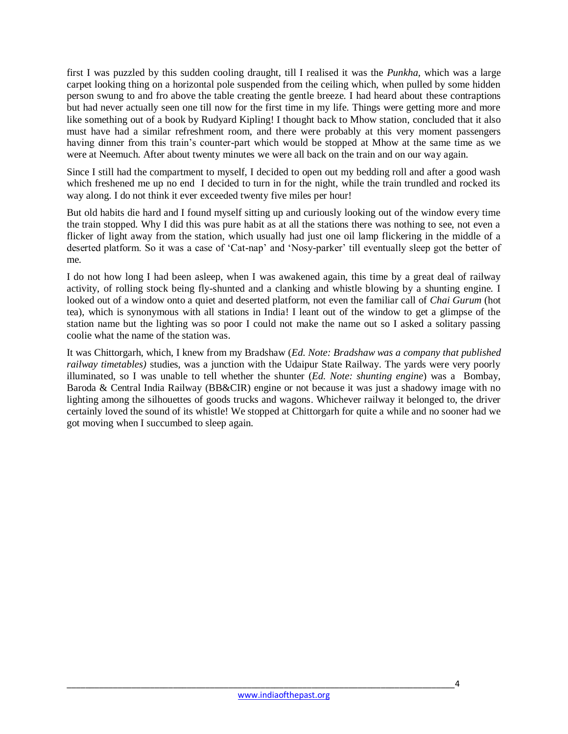first I was puzzled by this sudden cooling draught, till I realised it was the *Punkha*, which was a large carpet looking thing on a horizontal pole suspended from the ceiling which, when pulled by some hidden person swung to and fro above the table creating the gentle breeze. I had heard about these contraptions but had never actually seen one till now for the first time in my life. Things were getting more and more like something out of a book by Rudyard Kipling! I thought back to Mhow station, concluded that it also must have had a similar refreshment room, and there were probably at this very moment passengers having dinner from this train's counter-part which would be stopped at Mhow at the same time as we were at Neemuch. After about twenty minutes we were all back on the train and on our way again.

Since I still had the compartment to myself, I decided to open out my bedding roll and after a good wash which freshened me up no end I decided to turn in for the night, while the train trundled and rocked its way along. I do not think it ever exceeded twenty five miles per hour!

But old habits die hard and I found myself sitting up and curiously looking out of the window every time the train stopped. Why I did this was pure habit as at all the stations there was nothing to see, not even a flicker of light away from the station, which usually had just one oil lamp flickering in the middle of a deserted platform. So it was a case of 'Cat-nap' and 'Nosy-parker' till eventually sleep got the better of me.

I do not how long I had been asleep, when I was awakened again, this time by a great deal of railway activity, of rolling stock being fly-shunted and a clanking and whistle blowing by a shunting engine. I looked out of a window onto a quiet and deserted platform, not even the familiar call of *Chai Gurum* (hot tea), which is synonymous with all stations in India! I leant out of the window to get a glimpse of the station name but the lighting was so poor I could not make the name out so I asked a solitary passing coolie what the name of the station was.

It was Chittorgarh, which, I knew from my Bradshaw (*Ed. Note: Bradshaw was a company that published railway timetables)* studies, was a junction with the Udaipur State Railway. The yards were very poorly illuminated, so I was unable to tell whether the shunter (*Ed. Note: shunting engine*) was a Bombay, Baroda & Central India Railway (BB&CIR) engine or not because it was just a shadowy image with no lighting among the silhouettes of goods trucks and wagons. Whichever railway it belonged to, the driver certainly loved the sound of its whistle! We stopped at Chittorgarh for quite a while and no sooner had we got moving when I succumbed to sleep again.

\_\_\_\_\_\_\_\_\_\_\_\_\_\_\_\_\_\_\_\_\_\_\_\_\_\_\_\_\_\_\_\_\_\_\_\_\_\_\_\_\_\_\_\_\_\_\_\_\_\_\_\_\_\_\_\_\_\_\_\_\_\_\_\_\_\_\_\_\_\_\_\_\_\_\_\_\_\_\_\_\_\_\_\_4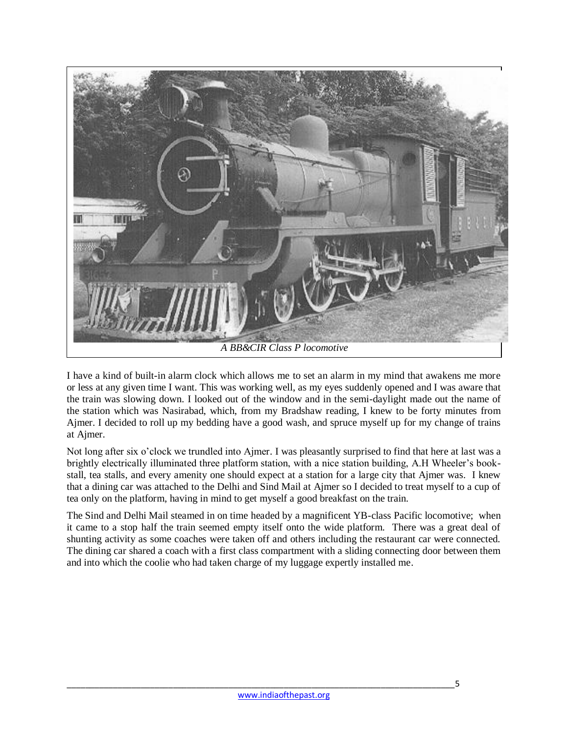

I have a kind of built-in alarm clock which allows me to set an alarm in my mind that awakens me more or less at any given time I want. This was working well, as my eyes suddenly opened and I was aware that the train was slowing down. I looked out of the window and in the semi-daylight made out the name of the station which was Nasirabad, which, from my Bradshaw reading, I knew to be forty minutes from Ajmer. I decided to roll up my bedding have a good wash, and spruce myself up for my change of trains at Ajmer.

Not long after six o'clock we trundled into Ajmer. I was pleasantly surprised to find that here at last was a brightly electrically illuminated three platform station, with a nice station building, A.H Wheeler's bookstall, tea stalls, and every amenity one should expect at a station for a large city that Ajmer was. I knew that a dining car was attached to the Delhi and Sind Mail at Ajmer so I decided to treat myself to a cup of tea only on the platform, having in mind to get myself a good breakfast on the train.

The Sind and Delhi Mail steamed in on time headed by a magnificent YB-class Pacific locomotive; when it came to a stop half the train seemed empty itself onto the wide platform. There was a great deal of shunting activity as some coaches were taken off and others including the restaurant car were connected. The dining car shared a coach with a first class compartment with a sliding connecting door between them and into which the coolie who had taken charge of my luggage expertly installed me.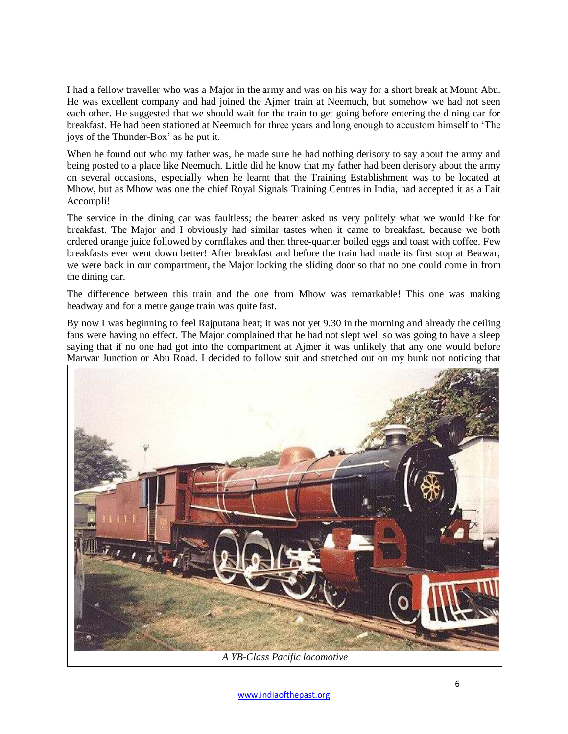I had a fellow traveller who was a Major in the army and was on his way for a short break at Mount Abu. He was excellent company and had joined the Ajmer train at Neemuch, but somehow we had not seen each other. He suggested that we should wait for the train to get going before entering the dining car for breakfast. He had been stationed at Neemuch for three years and long enough to accustom himself to 'The joys of the Thunder-Box' as he put it.

When he found out who my father was, he made sure he had nothing derisory to say about the army and being posted to a place like Neemuch. Little did he know that my father had been derisory about the army on several occasions, especially when he learnt that the Training Establishment was to be located at Mhow, but as Mhow was one the chief Royal Signals Training Centres in India, had accepted it as a Fait Accompli!

The service in the dining car was faultless; the bearer asked us very politely what we would like for breakfast. The Major and I obviously had similar tastes when it came to breakfast, because we both ordered orange juice followed by cornflakes and then three-quarter boiled eggs and toast with coffee. Few breakfasts ever went down better! After breakfast and before the train had made its first stop at Beawar, we were back in our compartment, the Major locking the sliding door so that no one could come in from the dining car.

The difference between this train and the one from Mhow was remarkable! This one was making headway and for a metre gauge train was quite fast.

By now I was beginning to feel Rajputana heat; it was not yet 9.30 in the morning and already the ceiling fans were having no effect. The Major complained that he had not slept well so was going to have a sleep saying that if no one had got into the compartment at Ajmer it was unlikely that any one would before Marwar Junction or Abu Road. I decided to follow suit and stretched out on my bunk not noticing that



*A YB-Class Pacific locomotive*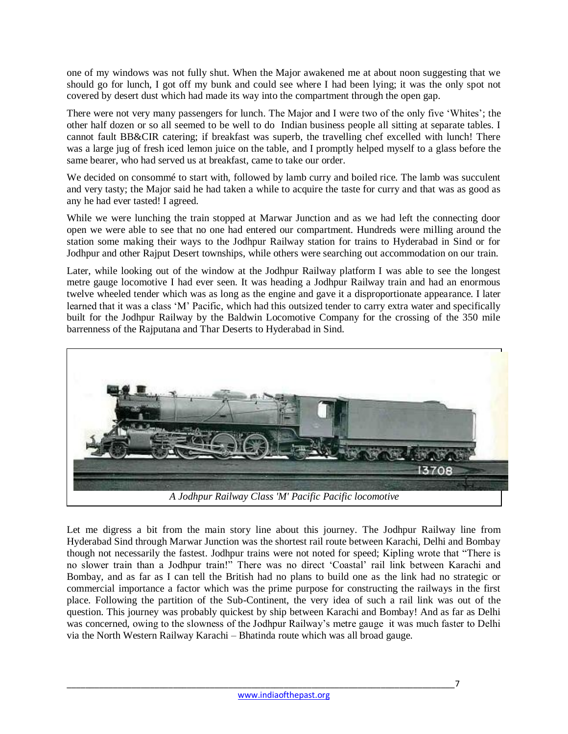one of my windows was not fully shut. When the Major awakened me at about noon suggesting that we should go for lunch, I got off my bunk and could see where I had been lying; it was the only spot not covered by desert dust which had made its way into the compartment through the open gap.

There were not very many passengers for lunch. The Major and I were two of the only five 'Whites'; the other half dozen or so all seemed to be well to do Indian business people all sitting at separate tables. I cannot fault BB&CIR catering; if breakfast was superb, the travelling chef excelled with lunch! There was a large jug of fresh iced lemon juice on the table, and I promptly helped myself to a glass before the same bearer, who had served us at breakfast, came to take our order.

We decided on consommé to start with, followed by lamb curry and boiled rice. The lamb was succulent and very tasty; the Major said he had taken a while to acquire the taste for curry and that was as good as any he had ever tasted! I agreed.

While we were lunching the train stopped at Marwar Junction and as we had left the connecting door open we were able to see that no one had entered our compartment. Hundreds were milling around the station some making their ways to the Jodhpur Railway station for trains to Hyderabad in Sind or for Jodhpur and other Rajput Desert townships, while others were searching out accommodation on our train.

Later, while looking out of the window at the Jodhpur Railway platform I was able to see the longest metre gauge locomotive I had ever seen. It was heading a Jodhpur Railway train and had an enormous twelve wheeled tender which was as long as the engine and gave it a disproportionate appearance. I later learned that it was a class 'M' Pacific, which had this outsized tender to carry extra water and specifically built for the Jodhpur Railway by the Baldwin Locomotive Company for the crossing of the 350 mile barrenness of the Rajputana and Thar Deserts to Hyderabad in Sind.



Let me digress a bit from the main story line about this journey. The Jodhpur Railway line from Hyderabad Sind through Marwar Junction was the shortest rail route between Karachi, Delhi and Bombay though not necessarily the fastest. Jodhpur trains were not noted for speed; Kipling wrote that "There is no slower train than a Jodhpur train!" There was no direct 'Coastal' rail link between Karachi and Bombay, and as far as I can tell the British had no plans to build one as the link had no strategic or commercial importance a factor which was the prime purpose for constructing the railways in the first place. Following the partition of the Sub-Continent, the very idea of such a rail link was out of the question. This journey was probably quickest by ship between Karachi and Bombay! And as far as Delhi was concerned, owing to the slowness of the Jodhpur Railway's metre gauge it was much faster to Delhi via the North Western Railway Karachi – Bhatinda route which was all broad gauge.

\_\_\_\_\_\_\_\_\_\_\_\_\_\_\_\_\_\_\_\_\_\_\_\_\_\_\_\_\_\_\_\_\_\_\_\_\_\_\_\_\_\_\_\_\_\_\_\_\_\_\_\_\_\_\_\_\_\_\_\_\_\_\_\_\_\_\_\_\_\_\_\_\_\_\_\_\_\_\_\_\_\_\_\_7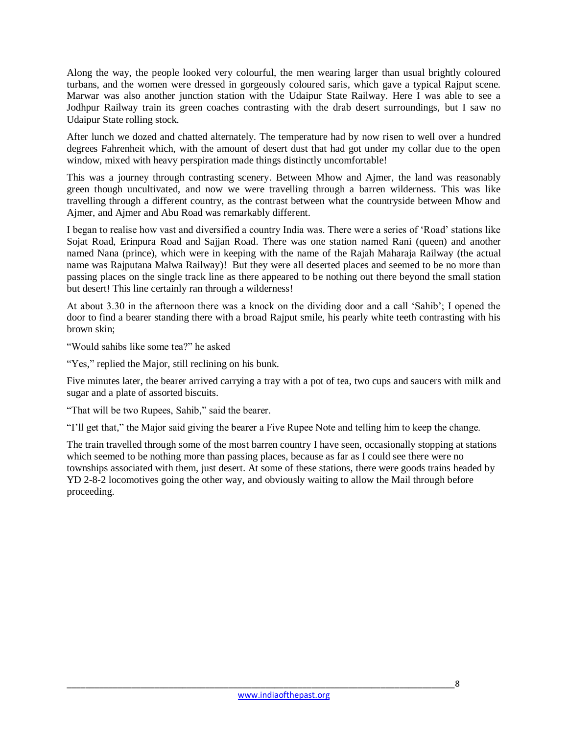Along the way, the people looked very colourful, the men wearing larger than usual brightly coloured turbans, and the women were dressed in gorgeously coloured saris, which gave a typical Rajput scene. Marwar was also another junction station with the Udaipur State Railway. Here I was able to see a Jodhpur Railway train its green coaches contrasting with the drab desert surroundings, but I saw no Udaipur State rolling stock.

After lunch we dozed and chatted alternately. The temperature had by now risen to well over a hundred degrees Fahrenheit which, with the amount of desert dust that had got under my collar due to the open window, mixed with heavy perspiration made things distinctly uncomfortable!

This was a journey through contrasting scenery. Between Mhow and Ajmer, the land was reasonably green though uncultivated, and now we were travelling through a barren wilderness. This was like travelling through a different country, as the contrast between what the countryside between Mhow and Ajmer, and Ajmer and Abu Road was remarkably different.

I began to realise how vast and diversified a country India was. There were a series of 'Road' stations like Sojat Road, Erinpura Road and Sajjan Road. There was one station named Rani (queen) and another named Nana (prince), which were in keeping with the name of the Rajah Maharaja Railway (the actual name was Rajputana Malwa Railway)! But they were all deserted places and seemed to be no more than passing places on the single track line as there appeared to be nothing out there beyond the small station but desert! This line certainly ran through a wilderness!

At about 3.30 in the afternoon there was a knock on the dividing door and a call 'Sahib'; I opened the door to find a bearer standing there with a broad Rajput smile, his pearly white teeth contrasting with his brown skin;

"Would sahibs like some tea?" he asked

"Yes," replied the Major, still reclining on his bunk.

Five minutes later, the bearer arrived carrying a tray with a pot of tea, two cups and saucers with milk and sugar and a plate of assorted biscuits.

"That will be two Rupees, Sahib," said the bearer.

"I'll get that," the Major said giving the bearer a Five Rupee Note and telling him to keep the change.

The train travelled through some of the most barren country I have seen, occasionally stopping at stations which seemed to be nothing more than passing places, because as far as I could see there were no townships associated with them, just desert. At some of these stations, there were goods trains headed by YD 2-8-2 locomotives going the other way, and obviously waiting to allow the Mail through before proceeding.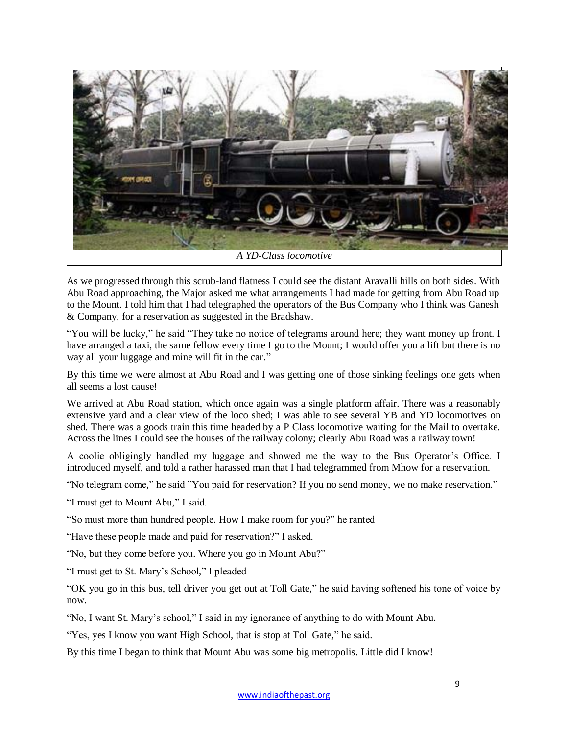

As we progressed through this scrub-land flatness I could see the distant Aravalli hills on both sides. With Abu Road approaching, the Major asked me what arrangements I had made for getting from Abu Road up to the Mount. I told him that I had telegraphed the operators of the Bus Company who I think was Ganesh & Company, for a reservation as suggested in the Bradshaw.

"You will be lucky," he said "They take no notice of telegrams around here; they want money up front. I have arranged a taxi, the same fellow every time I go to the Mount; I would offer you a lift but there is no way all your luggage and mine will fit in the car."

By this time we were almost at Abu Road and I was getting one of those sinking feelings one gets when all seems a lost cause!

We arrived at Abu Road station, which once again was a single platform affair. There was a reasonably extensive yard and a clear view of the loco shed; I was able to see several YB and YD locomotives on shed. There was a goods train this time headed by a P Class locomotive waiting for the Mail to overtake. Across the lines I could see the houses of the railway colony; clearly Abu Road was a railway town!

A coolie obligingly handled my luggage and showed me the way to the Bus Operator's Office. I introduced myself, and told a rather harassed man that I had telegrammed from Mhow for a reservation.

"No telegram come," he said "You paid for reservation? If you no send money, we no make reservation."

"I must get to Mount Abu," I said.

"So must more than hundred people. How I make room for you?" he ranted

"Have these people made and paid for reservation?" I asked.

"No, but they come before you. Where you go in Mount Abu?"

"I must get to St. Mary's School," I pleaded

"OK you go in this bus, tell driver you get out at Toll Gate," he said having softened his tone of voice by now.

"No, I want St. Mary's school," I said in my ignorance of anything to do with Mount Abu.

"Yes, yes I know you want High School, that is stop at Toll Gate," he said.

By this time I began to think that Mount Abu was some big metropolis. Little did I know!